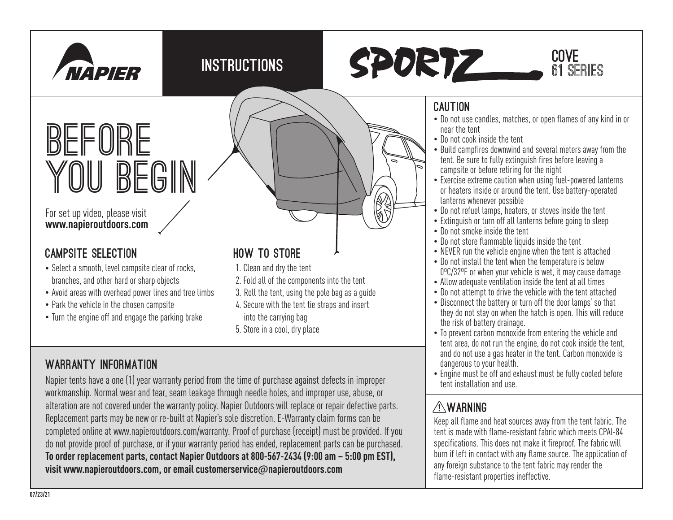





# **BEFORE YOU BEGIN**

#### For set up video, please visit **www.napieroutdoors.com**

#### CAMPSITE SELECTION

- Select a smooth, level campsite clear of rocks, branches, and other hard or sharp objects
- Avoid areas with overhead power lines and tree limbs
- Park the vehicle in the chosen campsite
- Turn the engine off and engage the parking brake

## WARRANTY INFORMATION

## HOW TO STORE

- 1. Clean and dry the tent
- 2. Fold all of the components into the tent
- 3. Roll the tent, using the pole bag as a guide
- 4. Secure with the tent tie straps and insert
- into the carrying bag
- 5. Store in a cool, dry place

#### Napier tents have a one (1) year warranty period from the time of purchase against defects in improper workmanship. Normal wear and tear, seam leakage through needle holes, and improper use, abuse, or alteration are not covered under the warranty policy. Napier Outdoors will replace or repair defective parts. Replacement parts may be new or re-built at Napier's sole discretion. E-Warranty claim forms can be completed online at www.napieroutdoors.com/warranty. Proof of purchase (receipt) must be provided. If you do not provide proof of purchase, or if your warranty period has ended, replacement parts can be purchased. **To order replacement parts, contact Napier Outdoors at 800-567-2434 (9:00 am – 5:00 pm EST), visit www.napieroutdoors.com, or email customerservice**@**napieroutdoors.com**

#### CAUTION

- Do not use candles, matches, or open flames of any kind in or near the tent
- Do not cook inside the tent
- Build campfires downwind and several meters away from the tent. Be sure to fully extinguish fires before leaving a campsite or before retiring for the night
- Exercise extreme caution when using fuel-powered lanterns or heaters inside or around the tent. Use battery-operated lanterns whenever possible
- Do not refuel lamps, heaters, or stoves inside the tent
- Extinguish or turn off all lanterns before going to sleep
- Do not smoke inside the tent
- Do not store flammable liquids inside the tent
- NEVER run the vehicle engine when the tent is attached
- Do not install the tent when the temperature is below 0ºC/32ºF or when your vehicle is wet, it may cause damage
- Allow adequate ventilation inside the tent at all times
- Do not attempt to drive the vehicle with the tent attached
- Disconnect the battery or turn off the door lamps' so that they do not stay on when the hatch is open. This will reduce the risk of battery drainage.
- To prevent carbon monoxide from entering the vehicle and tent area, do not run the engine, do not cook inside the tent, and do not use a gas heater in the tent. Carbon monoxide is dangerous to your health.
- Engine must be off and exhaust must be fully cooled before tent installation and use.

### WARNING

Keep all flame and heat sources away from the tent fabric. The tent is made with flame-resistant fabric which meets CPAI-84 specifications. This does not make it fireproof. The fabric will burn if left in contact with any flame source. The application of any foreign substance to the tent fabric may render the flame-resistant properties ineffective.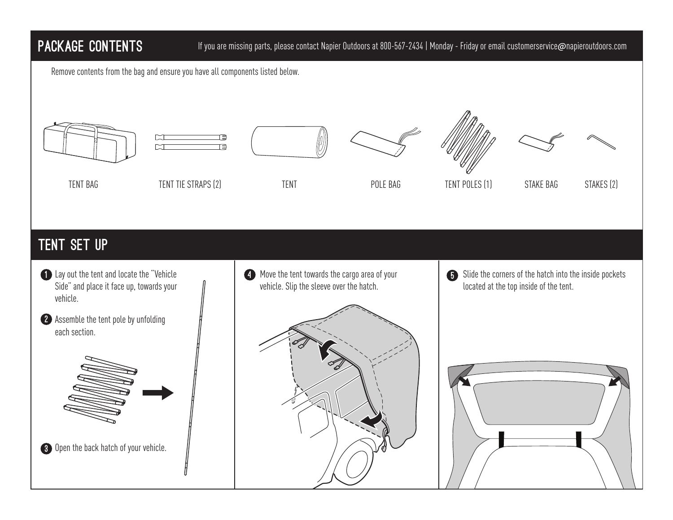#### PACKAGE CONTENTS

#### If you are missing parts, please contact Napier Outdoors at 800-567-2434 | Monday - Friday or email customerservice@napieroutdoors.com

Remove contents from the bag and ensure you have all components listed below.







TENT BAG TENT TIE STRAPS (2) TENT TENT POLE BAG TENT POLES (1) STAKE BAG STAKES (2)







#### tent set up

- 1 Lay out the tent and locate the "Vehicle **Example 20** Side" and place it face up, towards your vehicle.
- 2 Assemble the tent pole by unfolding each section.



**3** Open the back hatch of your vehicle.

**C** Move the tent towards the cargo area of your vehicle. Slip the sleeve over the hatch.



Slide the corners of the hatch into the inside pockets located at the top inside of the tent.  $\mathbf G$ 

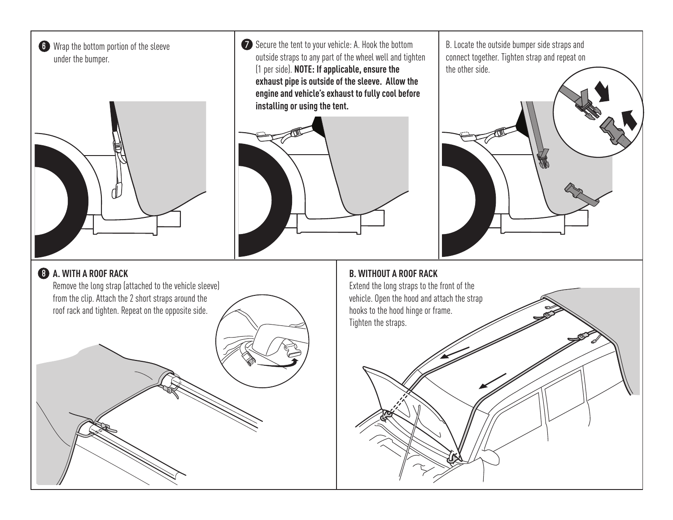



**6** Wrap the bottom portion of the sleeve **the stapple of the stapping of the tent** to your vehicle: A. Hook the bottom [B. Locate the outside bumper side straps and outside straps to any part of the wheel well and tighten (1 per side). **NOTE: If applicable, ensure the exhaust pipe is outside of the sleeve. Allow the engine and vehicle's exhaust to fully cool before installing or using the tent.**



connect together. Tighten strap and repeat on the other side.

#### **A. WITH A ROOF RACK** 8

Remove the long strap (attached to the vehicle sleeve) from the clip. Attach the 2 short straps around the roof rack and tighten. Repeat on the opposite side.

**B. WITHOUT A ROOF RACK** Extend the long straps to the front of the vehicle. Open the hood and attach the strap hooks to the hood hinge or frame. Tighten the straps.